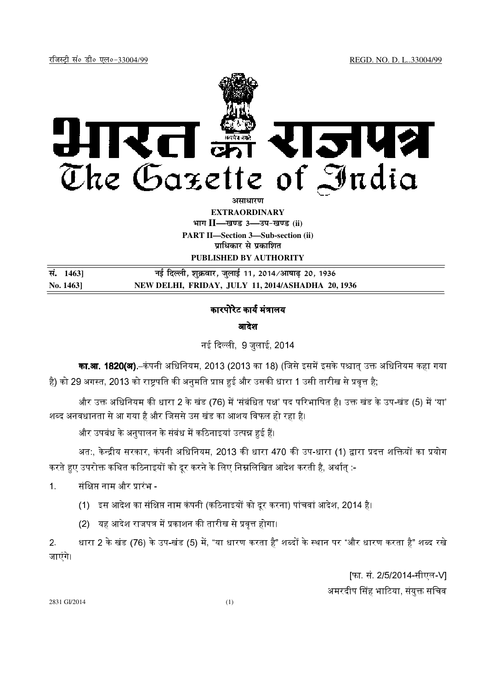

**EXTRAORDINARY Hkkx II—[k.M 3—mi&[k.M (ii) PART II—Section 3—Sub-section (ii) प्राधिकार से प्रकाशित** 

**PUBLISHED BY AUTHORITY**

| सं. 14631 | नई दिल्ली, शुक्रवार, जुलाई 11, 2014⁄आषाढ़ 20, 1936 |
|-----------|----------------------------------------------------|
| No. 1463  | NEW DELHI, FRIDAY, JULY 11, 2014/ASHADHA 20, 1936  |

## कारपोरेट कार्य मंत्रालय

आदेश

नई दिल्ली 9 जलाई 2014

**का.आ. 1820(अ).**–कंपनी अधिनियम, 2013 (2013 का 18) (जिसे इसमें इसके पश्चात उक्त अधिनियम कहा गया है) को 29 अगस्त, 2013 को राष्टपति की अनमति प्राप्त हुई और उसकी धारा 1 उसी तारीख से प्रवत्त है.

और उक्त अधिनियम की धारा 2 के खंड (76) में 'संबंधित पक्ष' पद परिभाषित है। उक्त खंड के उप-खंड (5) में 'या' शब्द अनवधानता से आ गया है और जिससे उस खंड का आशय विफल हो रहा है।

और उपबंध के अनपालन के संबंध में कठिनाइयां उत्पन्न हई हैं।

अत:, केन्द्रीय सरकार, कंपनी अधिनियम, 2013 की धारा 470 की उप-धारा (1) द्वारा प्रदत्त शक्तियों का प्रयोग करते हुए उपरोक्त कथित कठिनाइयों को दूर करने के लिए निम्नलिखित आदेश करती है, अर्थात् :-

1. संक्षिप्त नाम और प्रारंभ -

- (1) इस आदेश का संक्षिप्त नाम कंपनी (कठिनाइयों को दूर करना) पांचवां आदेश, 2014 है।
- (2) यह आदेश राजपत्र में प्रकाशन की तारीख से प्रवत्त होगा।

2. धारा 2 के खंड (76) के उप-खंड (5) में, "या धारण करता है" शब्दों के स्थान पर "और धारण करता है" शब्द रखे जाएंगे।

> [फा. सं. 2/5/2014-सीएल-V] अमरदीप सिंह भाटिया, संयुक्त सचिव

2831 GI/2014 (1)